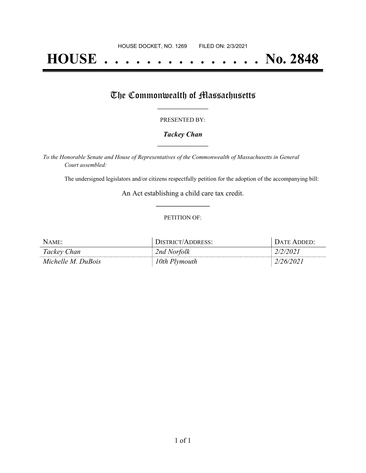# **HOUSE . . . . . . . . . . . . . . . No. 2848**

## The Commonwealth of Massachusetts

#### PRESENTED BY:

#### *Tackey Chan* **\_\_\_\_\_\_\_\_\_\_\_\_\_\_\_\_\_**

*To the Honorable Senate and House of Representatives of the Commonwealth of Massachusetts in General Court assembled:*

The undersigned legislators and/or citizens respectfully petition for the adoption of the accompanying bill:

An Act establishing a child care tax credit. **\_\_\_\_\_\_\_\_\_\_\_\_\_\_\_**

#### PETITION OF:

| NAME:              | <b>JISTRICT/ADDRESS:</b> | DATE ADDED:    |
|--------------------|--------------------------|----------------|
| Tackey Chan        | 2nd Norfolk              | <i>2/2/202</i> |
| Michelle M. DuBois | 10th Plymouth            | '0/2021        |